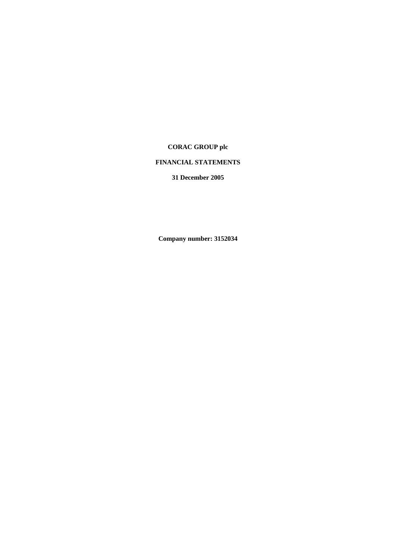#### **CORAC GROUP plc**

#### **FINANCIAL STATEMENTS**

**31 December 2005**

**Company number: 3152034**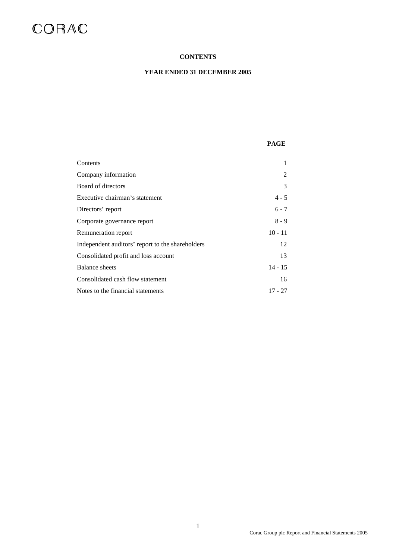

#### **CONTENTS**

# **YEAR ENDED 31 DECEMBER 2005**

#### **PAGE**

| Contents                                         |           |  |
|--------------------------------------------------|-----------|--|
| Company information                              |           |  |
| Board of directors                               |           |  |
| Executive chairman's statement                   | $4 - 5$   |  |
| Directors' report                                | $6 - 7$   |  |
| Corporate governance report                      | $8 - 9$   |  |
| Remuneration report                              | $10 - 11$ |  |
| Independent auditors' report to the shareholders | 12        |  |
| Consolidated profit and loss account             | 13        |  |
| <b>Balance</b> sheets                            | $14 - 15$ |  |
| Consolidated cash flow statement                 | 16        |  |
| Notes to the financial statements                | $17 - 27$ |  |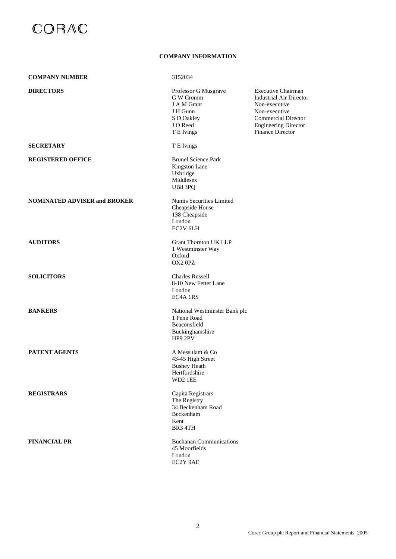

#### **COMPANY INFORMATION**

#### **COMPANY NUMBER** 3152034

#### **NOMINATED ADVISER and BROKER** Numis Securities Limited

**DIRECTORS** Professor G Musgrave Executive Chairman G W Cromm Industrial Air Director J A M Grant Non-executive J H Gunn Non-executive Non-executive S D Oakley **Commercial Director** J O Reed Engineering Director T E Ivings Finance Director **SECRETARY** T E Ivings **REGISTERED OFFICE** Brunel Science Park Brunel Science Park Kingston Lane **Example 2018** Uxbridge Middlesex UB8 3PQ **Cheapside House Example 1 Cheapside House Example 2 Cheapside House** 138 Cheapside London **London London London London London London London London London** EC2V 6LH **AUDITORS** Grant Thornton UK LLP 1 Westminster Way Oxford OX2 0PZ **SOLICITORS** Charles Russell Charles Russell 8-10 New Fetter Lane London **London London London London London London London London London** EC4A 1RS **BANKERS** National Westminster Bank plc 1 Penn Road Beaconsfield Buckinghamshire and the state of the state of the state of the state of the state of the state of the state of the state of the state of the state of the state of the state of the state of the state of the state of the sta HP9 2PV **PATENT AGENTS** A Messulam & Co 43-45 High Street Bushey Heath **Exercise 2018** Hertfordshire WD2 1EE **REGISTRARS** Capita Registrars The Registry **Example 20** Figure 1 and 20 Figure 1 and 20 Figure 1 and 20 Figure 20 Figure 20 Figure 20 Figure 20 Figure 20 Figure 20 Figure 20 Figure 20 Figure 20 Figure 20 Figure 20 Figure 20 Figure 20 Figure 20 Figure 2 34 Beckenham Road Beckenham and the state of the state of the state of the state of the state of the state of the state of the state of the state of the state of the state of the state of the state of the state of the state of the state of Kent **Kent Kent Kent Kent Kent Kent Kent Kent Kent Kent Kent Kent Kent Kent Kent Kent Kent Kent Kent Kent Kent Kent Kent Kent Kent Kent Kent Kent Kent Kent Kent** BR3 4TH **FINANCIAL PR** Buchanan Communications 45 Moorfields London **London London London London London London London London London** EC2Y 9AE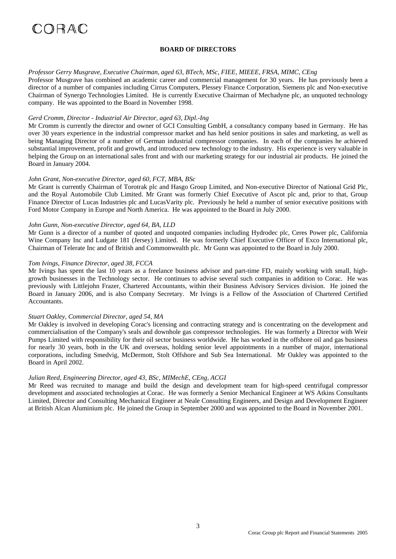## **BOARD OF DIRECTORS**

#### *Professor Gerry Musgrave, Executive Chairman, aged 63, BTech, MSc, FIEE, MIEEE, FRSA, MIMC, CEng*

Professor Musgrave has combined an academic career and commercial management for 30 years. He has previously been a director of a number of companies including Cirrus Computers, Plessey Finance Corporation, Siemens plc and Non-executive Chairman of Synergo Technologies Limited. He is currently Executive Chairman of Mechadyne plc, an unquoted technology company. He was appointed to the Board in November 1998.

#### *Gerd Cromm, Director - Industrial Air Director, aged 63, Dipl.-Ing*

Mr Cromm is currently the director and owner of GCI Consulting GmbH, a consultancy company based in Germany. He has over 30 years experience in the industrial compressor market and has held senior positions in sales and marketing, as well as being Managing Director of a number of German industrial compressor companies. In each of the companies he achieved substantial improvement, profit and growth, and introduced new technology to the industry. His experience is very valuable in helping the Group on an international sales front and with our marketing strategy for our industrial air products. He joined the Board in January 2004.

#### *John Grant, Non-executive Director, aged 60, FCT, MBA, BSc*

Mr Grant is currently Chairman of Torotrak plc and Hasgo Group Limited, and Non-executive Director of National Grid Plc, and the Royal Automobile Club Limited. Mr Grant was formerly Chief Executive of Ascot plc and, prior to that, Group Finance Director of Lucas Industries plc and LucasVarity plc. Previously he held a number of senior executive positions with Ford Motor Company in Europe and North America. He was appointed to the Board in July 2000.

#### *John Gunn, Non-executive Director, aged 64, BA, LLD*

Mr Gunn is a director of a number of quoted and unquoted companies including Hydrodec plc, Ceres Power plc, California Wine Company Inc and Ludgate 181 (Jersey) Limited. He was formerly Chief Executive Officer of Exco International plc, Chairman of Telerate Inc and of British and Commonwealth plc. Mr Gunn was appointed to the Board in July 2000.

#### *Tom Ivings, Finance Director, aged 38, FCCA*

Mr Ivings has spent the last 10 years as a freelance business advisor and part-time FD, mainly working with small, high growth businesses in the Technology sector. He continues to advise several such companies in addition to Corac. He was previously with Littlejohn Frazer, Chartered Accountants, within their Business Advisory Services division. He joined the Board in January 2006, and is also Company Secretary. Mr Ivings is a Fellow of the Association of Chartered Certified Accountants.

#### *Stuart Oakley, Commercial Director, aged 54, MA*

Mr Oakley is involved in developing Corac's licensing and contracting strategy and is concentrating on the development and commercialisation of the Company's seals and downhole gas compressor technologies. He was formerly a Director with Weir Pumps Limited with responsibility for their oil sector business worldwide. He has worked in the offshore oil and gas business for nearly 30 years, both in the UK and overseas, holding senior level appointments in a number of major, international corporations, including Smedvig, McDermott, Stolt Offshore and Sub Sea International. Mr Oakley was appointed to the Board in April 2002.

#### *Julian Reed, Engineering Director, aged 43, BSc, MIMechE, CEng, ACGI*

Mr Reed was recruited to manage and build the design and development team for high-speed centrifugal compressor development and associated technologies at Corac. He was formerly a Senior Mechanical Engineer at WS Atkins Consultants Limited, Director and Consulting Mechanical Engineer at Neale Consulting Engineers, and Design and Development Engineer at British Alcan Aluminium plc. He joined the Group in September 2000 and was appointed to the Board in November 2001.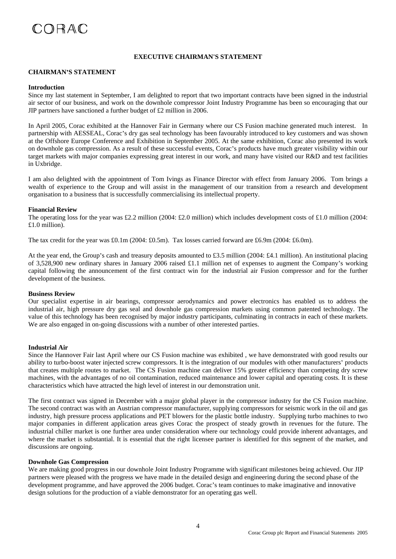### **EXECUTIVE CHAIRMAN'S STATEMENT**

#### **CHAIRMAN S STATEMENT**

#### **Introduction**

Since my last statement in September, I am delighted to report that two important contracts have been signed in the industrial air sector of our business, and work on the downhole compressor Joint Industry Programme has been so encouraging that our JIP partners have sanctioned a further budget of £2 million in 2006.

In April 2005, Corac exhibited at the Hannover Fair in Germany where our CS Fusion machine generated much interest. In partnership with AESSEAL, Corac's dry gas seal technology has been favourably introduced to key customers and was shown at the Offshore Europe Conference and Exhibition in September 2005. At the same exhibition, Corac also presented its work on downhole gas compression. As a result of these successful events, Corac's products have much greater visibility within our target markets with major companies expressing great interest in our work, and many have visited our R&D and test facilities in Uxbridge.

I am also delighted with the appointment of Tom Ivings as Finance Director with effect from January 2006. Tom brings a wealth of experience to the Group and will assist in the management of our transition from a research and development organisation to a business that is successfully commercialising its intellectual property.

#### **Financial Review**

The operating loss for the year was £2.2 million (2004: £2.0 million) which includes development costs of £1.0 million (2004:  $\pounds1.0$  million).

The tax credit for the year was £0.1m (2004: £0.5m). Tax losses carried forward are £6.9m (2004: £6.0m).

At the year end, the Group's cash and treasury deposits amounted to £3.5 million (2004: £4.1 million). An institutional placing of 3,528,900 new ordinary shares in January 2006 raised £1.1 million net of expenses to augment the Company s working capital following the announcement of the first contract win for the industrial air Fusion compressor and for the further development of the business.

#### **Business Review**

Our specialist expertise in air bearings, compressor aerodynamics and power electronics has enabled us to address the industrial air, high pressure dry gas seal and downhole gas compression markets using common patented technology. The value of this technology has been recognised by major industry participants, culminating in contractsin each of these markets. We are also engaged in on-going discussions with a number of other interested parties.

#### **Industrial Air**

Since the Hannover Fair last April where our CS Fusion machine was exhibited , we have demonstrated with good results our ability to turbo-boost water injected screw compressors. It is the integration of our modules with other manufacturers' products that creates multiple routes to market. The CS Fusion machine can deliver 15% greater efficiency than competing dry screw machines, with the advantages of no oil contamination, reduced maintenance and lower capital and operating costs. It is these characteristics which have attracted the high level of interest in our demonstration unit.

The first contract was signed in December with a major global player in the compressor industry for the CS Fusion machine. The second contract was with an Austrian compressor manufacturer, supplying compressors for seismic work in the oil and gas industry, high pressure process applications and PET blowers for the plastic bottle industry. Supplying turbo machines to two major companies in different application areas gives Corac the prospect of steady growth in revenues for the future. The industrial chiller market is one further area under consideration where our technology could provide inherent advantages, and where the market is substantial. It is essential that the right licensee partner is identified for this segment of the market, and discussions are ongoing.

#### **Downhole Gas Compression**

We are making good progress in our downhole Joint Industry Programme with significant milestones being achieved. Our JIP partners were pleased with the progress we have made in the detailed design and engineering during the second phase of the development programme, and have approved the 2006 budget. Corac's team continues to make imaginative and innovative design solutions for the production of a viable demonstrator for an operating gas well.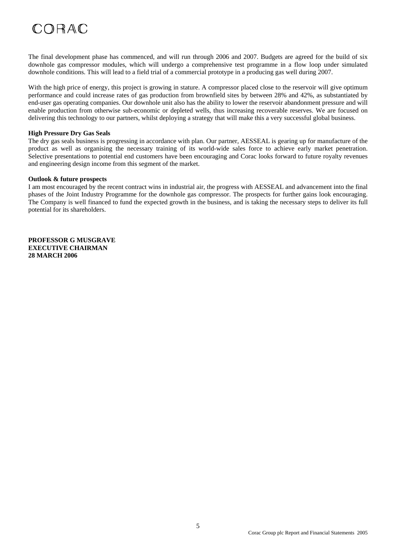The final development phase has commenced, and will run through 2006 and 2007. Budgets are agreed for the build of six downhole gas compressor modules, which will undergo a comprehensive test programme in a flow loop under simulated downhole conditions. This will lead to a field trial of a commercial prototype in a producing gas well during 2007.

With the high price of energy, this project is growing in stature. A compressor placed close to the reservoir will give optimum performance and could increase rates of gas production from brownfield sites by between 28% and 42%, as substantiated by end-user gas operating companies. Our downhole unit also has the ability to lower the reservoir abandonment pressure and will enable production from otherwise sub-economic or depleted wells, thus increasing recoverable reserves. We are focused on delivering this technology to our partners, whilst deploying a strategy that will make this a very successful global business.

#### **High Pressure Dry Gas Seals**

The dry gas seals business is progressing in accordance with plan. Our partner, AESSEAL is gearing up for manufacture of the product as well as organising the necessary training of its world-wide sales force to achieve early market penetration. Selective presentations to potential end customers have been encouraging and Corac looks forward to future royalty revenues and engineering design income from this segment of the market.

#### **Outlook & future prospects**

I am most encouraged by the recent contract wins in industrial air, the progress with AESSEAL and advancement into the final phases of the Joint Industry Programme for the downhole gas compressor. The prospects for further gains look encouraging. The Company is well financed to fund the expected growth in the business, and is taking the necessary steps to deliver its full potential for its shareholders.

**PROFESSOR G MUSGRAVE EXECUTIVE CHAIRMAN 28 MARCH 2006**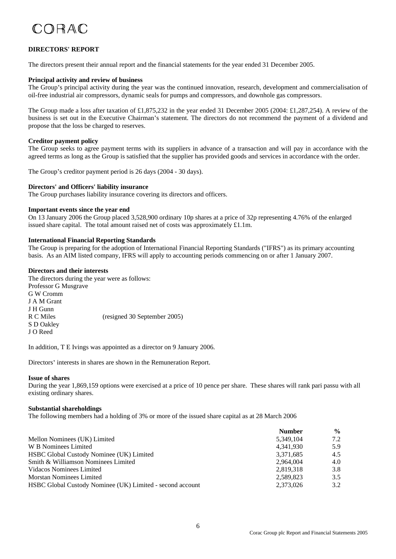# **DIRECTORS' REPORT**

The directors present their annual report and the financial statements for the year ended 31 December 2005.

#### **Principal activity and review of business**

The Group's principal activity during the year was the continued innovation, research, development and commercialisation of oil-free industrial air compressors, dynamic seals for pumps and compressors, and downhole gas compressors.

The Group made a loss after taxation of £1,875,232 in the year ended 31 December 2005 (2004: £1,287,254). A review of the business is set out in the Executive Chairman's statement. The directors do not recommend the payment of a dividend and propose that the loss be charged to reserves.

### **Creditor payment policy**

The Group seeks to agree payment terms with its suppliers in advance of a transaction and will pay in accordance with the agreed terms as long as the Group is satisfied that the supplier has provided goods and services in accordance with the order.

The Group's creditor payment period is 26 days (2004 - 30 days).

#### **Directors' and Officers' liability insurance**

The Group purchases liability insurance covering its directors and officers.

#### **Important events since the year end**

On 13 January 2006 the Group placed 3,528,900 ordinary 10p shares at a price of 32p representing 4.76% of the enlarged issued share capital. The total amount raised net of costs was approximately £1.1m.

#### **International Financial Reporting Standards**

The Group is preparing for the adoption of International Financial Reporting Standards ("IFRS") as its primary accounting basis. As an AIM listed company, IFRS will apply to accounting periods commencing on or after 1 January 2007.

#### **Directors and their interests**

The directors during the year were as follows: Professor G Musgrave G W Cromm J A M Grant J H Gunn R C Miles (resigned 30 September 2005) S D Oakley J O Reed

In addition, T E Ivings was appointed as a director on 9 January 2006.

Directors' interests in shares are shown in the Remuneration Report.

#### **Issue of shares**

During the year 1,869,159 options were exercised at a price of 10 pence per share. These shares will rank pari passu with all existing ordinary shares.

#### **Substantial shareholdings**

The following members had a holding of 3% or more of the issued share capital as at 28 March 2006

| Mellon Nominees (UK) Limited                              | 5 349 104 |     |
|-----------------------------------------------------------|-----------|-----|
| W B Nominees Limited                                      | 4,341,930 |     |
| HSBC Global Custody Nominee (UK) Limited                  | 371.685   |     |
| Smith & Williamson Nominees Limited                       | 2,964,004 |     |
| Vidacos Nominees Limited                                  | 2.819.318 |     |
| <b>Morstan Nominees Limited</b>                           | 589,823,  | 3.5 |
| HSBC Global Custody Nominee (UK) Limited - second account | 2,373,026 |     |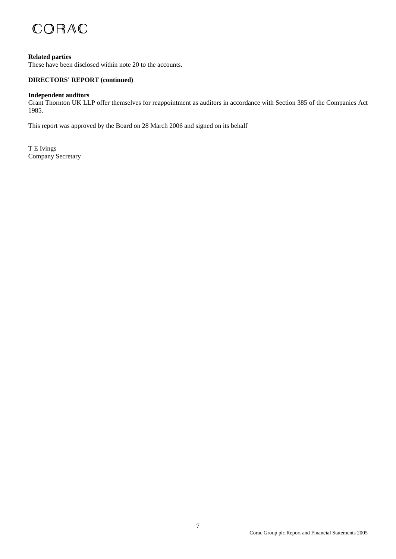

## **Related parties**

These have been disclosed within note 20 to the accounts.

#### **DIRECTORS' REPORT (continued)**

#### **Independent auditors**

Grant Thornton UK LLP offer themselves for reappointment as auditors in accordance with Section 385 of the Companies Act 1985.

This report was approved by the Board on 28 March 2006 and signed on its behalf

T E Ivings Company Secretary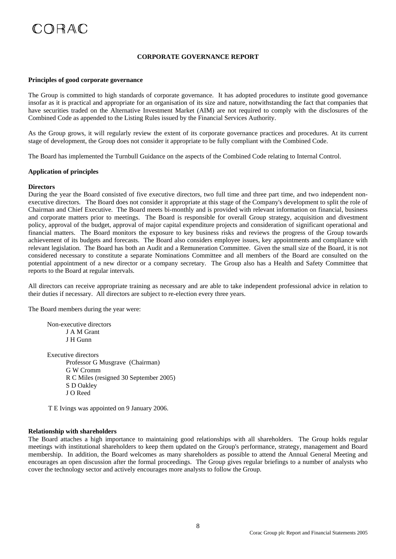#### **CORPORATE GOVERNANCE REPORT**

#### **Principles of good corporate governance**

The Group is committed to high standards of corporate governance. It has adopted procedures to institute good governance insofar as it is practical and appropriate for an organisation of its size and nature, notwithstanding the fact that companies that have securities traded on the Alternative Investment Market (AIM) are not required to comply with the disclosures of the Combined Code as appended to the Listing Rules issued by the Financial Services Authority.

As the Group grows, it will regularly review the extent of its corporate governance practices and procedures. At its current stage of development, the Group does not consider it appropriate to be fully compliant with the Combined Code.

The Board has implemented the Turnbull Guidance on the aspects of the Combined Code relating to Internal Control.

#### **Application of principles**

#### **Directors**

During the year the Board consisted of five executive directors, two full time and three part time, and two independent non executive directors. The Board does not consider it appropriate at this stage of the Company's development to split the role of Chairman and Chief Executive. The Board meets bi-monthly and is provided with relevant information on financial, business and corporate matters prior to meetings. The Board is responsible for overall Group strategy, acquisition and divestment policy, approval of the budget, approval of major capital expenditure projects and consideration of significant operational and financial matters. The Board monitors the exposure to key business risks and reviews the progress of the Group towards achievement of its budgets and forecasts. The Board also considers employee issues, key appointments and compliance with relevant legislation. The Board has both an Audit and a Remuneration Committee. Given the small size of the Board, it is not considered necessary to constitute a separate Nominations Committee and all members of the Board are consulted on the potential appointment of a new director or a company secretary. The Group also has a Health and Safety Committee that reports to the Board at regular intervals.

All directors can receive appropriate training as necessary and are able to take independent professional advice in relation to their duties if necessary. All directors are subject to re-election every three years.

The Board members during the year were:

Non-executive directors J A M Grant J H Gunn

Executive directors Professor G Musgrave (Chairman) G W Cromm R C Miles (resigned 30 September 2005) S D Oakley J O Reed

T E Ivings was appointed on 9 January 2006.

#### **Relationship with shareholders**

The Board attaches a high importance to maintaining good relationships with all shareholders.The Group holds regular meetings with institutional shareholders to keep them updated on the Group's performance, strategy, management and Board membership. In addition, the Board welcomes as many shareholders as possible to attend the Annual General Meeting and encourages an open discussion after the formal proceedings. The Group gives regular briefings to a number of analysts who cover the technology sector and actively encourages more analysts to follow the Group.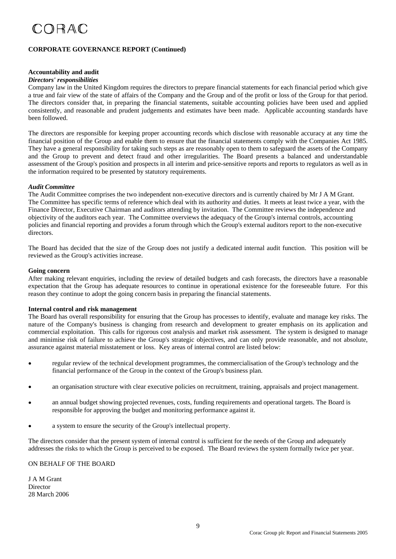# **CORPORATE GOVERNANCE REPORT (Continued)**

# **Accountability and audit**

#### *Directors' responsibilities*

Company law in the United Kingdom requires the directors to prepare financial statements for each financial period which give a true and fair view of the state of affairs of the Company and the Group and of the profit or loss of the Group for that period. The directors consider that, in preparing the financial statements, suitable accounting policies have been used and applied consistently, and reasonable and prudent judgements and estimates have been made. Applicable accounting standards have been followed.

The directors are responsible for keeping proper accounting records which disclose with reasonable accuracy atany time the financial position of the Group and enable them to ensure that the financial statements comply with the Companies Act 1985. They have a general responsibility for taking such steps as are reasonably open to them to safeguard the assets of the Company and the Group to prevent and detect fraud and other irregularities. The Board presents a balanced and understandable assessment of the Group's position and prospects in all interim and price-sensitive reports and reports to regulators as well as in the information required to be presented by statutory requirements.

#### *Audit Committee*

The Audit Committee comprises the two independent non-executive directors and is currently chaired by Mr J A M Grant. The Committee has specific terms of reference which deal with its authority and duties. It meets at least twice a year, with the Finance Director, Executive Chairman and auditors attending by invitation. The Committee reviews the independence and objectivity of the auditors each year. The Committee overviews the adequacy of the Group's internal controls, accounting policies and financial reporting and provides a forum through which the Group's external auditors report to the non-executive directors.

The Board has decided that the size of the Group does not justify a dedicated internal audit function. This position will be reviewed as the Group's activities increase.

#### **Going concern**

After making relevant enquiries, including the review of detailed budgets and cash forecasts, the directors have a reasonable expectation that the Group has adequate resources to continue in operational existence for the foreseeable future. For this reason they continue to adopt the going concern basis in preparing the financial statements.

#### **Internal control and risk management**

The Board has overall responsibility for ensuring that the Group has processes to identify, evaluate and manage key risks. The nature of the Company's business is changing from research and development to greater emphasis on its application and commercial exploitation. This calls for rigorous cost analysis and market risk assessment. The system is designed to manage and minimise risk of failure to achieve the Group's strategic objectives, and can only provide reasonable, and not absolute, assurance against material misstatement or loss. Key areas of internal control are listed below:

- regular review of the technical development programmes, the commercialisation of the Group's technology and the financial performance of the Group in the context of the Group's business plan.
- an organisation structure with clear executive policies on recruitment, training, appraisals and project management.
- an annual budget showing projected revenues, costs, funding requirements and operational targets. The Board is responsible for approving the budget and monitoring performance against it.
- a system to ensure the security of the Group's intellectual property.

The directors consider that the present system of internal control is sufficient for the needs of the Group and adequately addresses the risks to which the Group is perceived to be exposed. The Board reviews the system formally twice per year.

# ON BEHALF OF THE BOARD

J A M Grant Director **Executive Section 2006** and 2007 and 2008 and 2008 and 2008 and 2008 and 2008 and 2008 and 2008 and 2008 and 2008 and 2008 and 2008 and 2008 and 2008 and 2008 and 2008 and 2008 and 2008 and 2008 and 2008 and 2008 28 March 2006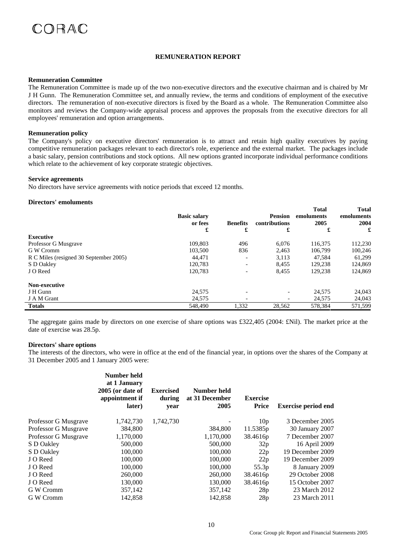#### **REMUNERATION REPORT**

#### **Remuneration Committee**

The Remuneration Committee is made up of the two non-executive directors and the executive chairman and is chaired by Mr J H Gunn. The Remuneration Committee set, and annually review, the terms and conditions of employment of the executive directors. The remuneration of non-executive directors is fixed by the Board as a whole. The Remuneration Committee also monitors and reviews the Company-wide appraisal process and approves the proposals from the executive directors for all employees' remuneration and option arrangements.

#### **Remuneration policy**

The Company's policy on executive directors' remuneration is to attract and retain high quality executives by paying competitive remuneration packages relevant to each director's role, experience and the external market. The packages include a basic salary, pension contributions and stock options. All new options granted incorporate individual performance conditions which relate to the achievement of key corporate strategic objectives.

#### **Service agreements**

No directors have service agreements with notice periods that exceed 12 months.

#### **Directors' emoluments**

|                                                 |                     |          |               | <b>Total</b> | Tota       |
|-------------------------------------------------|---------------------|----------|---------------|--------------|------------|
|                                                 | <b>Basic salary</b> |          | Pension       | emoluments   | emoluments |
|                                                 | or fees             | Benefits | contributions | 2005         | 2004       |
|                                                 |                     |          |               |              |            |
| Executive                                       |                     |          |               |              |            |
| Professor G Musgrave                            | 109,803             | 496      | 6,076         | 116,375      | 112,230    |
| G W Cromm                                       | 103,500             | 836      | 2,463         | 106,799      | 100,246    |
| R C Miles (resigned 30 September 2005)          | 44,471              |          | 3,113         | 47,584       | 61,299     |
|                                                 | 120,783             |          | 8,455         | 129,238      | 124,869    |
| S D Oakley<br>J O Reed                          | 120,783             |          | 8,455         | 129,238      | 124,869    |
|                                                 |                     |          |               |              |            |
|                                                 | 24,575              |          |               | 24,575       | 24,043     |
| <b>Non-executive</b><br>J H Gunn<br>J A M Grant | 24,575              |          |               | 24,575       | 24,043     |
| <b>Totals</b>                                   | 548,490             | 1,332    | 28,562        | 578,384      | 571,599    |

The aggregate gains made by directors on one exercise of share options was £322,405 (2004: £Nil). The market price at the date of exercise was 28.5p.

#### **Directors' share options**

The interests of the directors, who were in office at the end of the financial year, in options over the shares of the Company at 31 December 2005 and 1 January 2005 were:

|                      | Number held<br>at 1 January        |                  |                                      |                 |                           |
|----------------------|------------------------------------|------------------|--------------------------------------|-----------------|---------------------------|
|                      | 2005 (or date of<br>appointment if | <b>Exercised</b> | Number held<br>during at 31 December | <b>Exercise</b> |                           |
|                      | later)                             | year             | 2005                                 |                 | Price Exercise period end |
| Professor G Musgrave | 1,742,730                          | 1,742,730        |                                      | 10 <sub>p</sub> | 3 December 2005           |
| Professor G Musgrave | 384,800                            |                  | 384,800                              | 11.5385p        | 30 January 2007           |
| Professor G Musgrave | 1,170,000                          |                  | 1,170,000                            | 38.4616p        | 7 December 2007           |
| S D Oakley           | 500,000                            |                  | 500,000                              | 32p             | 16 April 2009             |
| S D Oakley           | 100,000                            |                  | 100,000                              | 22p             | 19 December 2009          |
| J O Reed             | 100,000                            |                  | 100,000                              | 22p             | 19 December 2009          |
| J O Reed             | 100,000                            |                  | 100,000                              | 55.3p           | 8 January 2009            |
| J O Reed             | 260,000                            |                  | 260,000                              | 38.4616p        | 29 October 2008           |
| J O Reed             | 130,000                            |                  | 130,000                              | 38.4616p        | 15 October 2007           |
| ${\rm G}$ W Cromm    | 357,142                            |                  | 357,142                              | 28p             | 23 March 2012             |
| G W Cromm            | 142,858                            |                  | 142,858                              | 28p             | 23 March 2011             |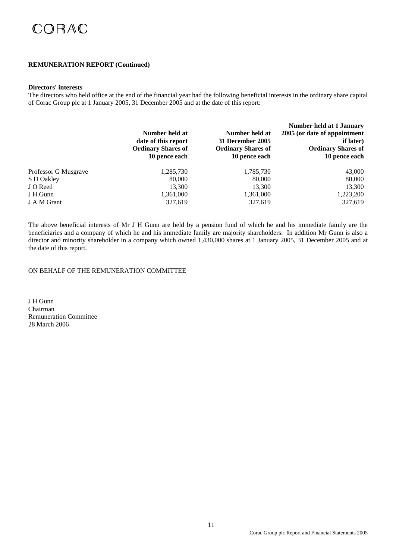# **REMUNERATION REPORT (Continued)**

### **Directors' interests**

The directors who held office at the end of the financial year had the following beneficial interests in the ordinary share capital of Corac Group plc at 1 January 2005, 31 December 2005 and at the date of this report:

|                      | Number held at<br>date of this report<br><b>Ordinary Shares of</b><br>10 pence each | Number held at<br>31 December 2005<br><b>Ordinary Shares of</b><br>10 pence each | Number held at 1 January<br>2005 (or date of appointment<br>if later)<br><b>Ordinary Shares of</b><br><b>10 pence each</b> |
|----------------------|-------------------------------------------------------------------------------------|----------------------------------------------------------------------------------|----------------------------------------------------------------------------------------------------------------------------|
|                      |                                                                                     |                                                                                  |                                                                                                                            |
| Professor G Musgrave | 1,285,730                                                                           | 1,785,730                                                                        | 43,000                                                                                                                     |
| S D Oakley           | 80,000                                                                              | 80,000                                                                           | 80,000                                                                                                                     |
| ${\rm J}$ O Reed     | 13,300                                                                              | 13,300                                                                           | 13,300                                                                                                                     |
| J H Gunn             | 1,361,000                                                                           | 1,361,000                                                                        | 1,223,200                                                                                                                  |
| J A M Grant          | 327,619                                                                             | 327,619                                                                          | 327,619                                                                                                                    |

The above beneficial interests of Mr J H Gunn are held by a pension fund of which he and his immediate family are the beneficiaries and a company of which he and his immediate family are majority shareholders. In addition Mr Gunn is also a director and minority shareholder in a company which owned 1,430,000 shares at 1 January 2005, 31 December 2005 and at the date of this report.

ON BEHALF OF THE REMUNERATION COMMITTEE

J H Gunn Chairman Remuneration Committee 28 March 2006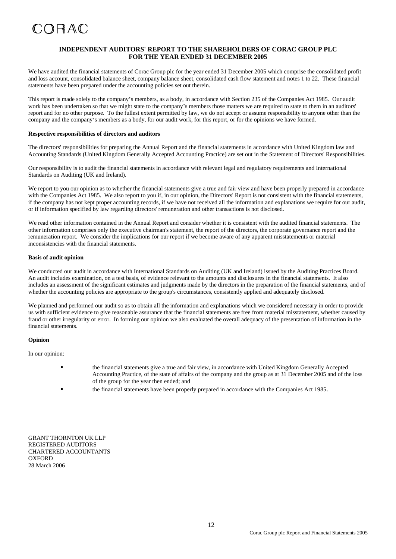## **INDEPENDENT AUDITORS' REPORT TO THE SHAREHOLDERS OF CORAC GROUP PLC FOR THE YEAR ENDED 31 DECEMBER 2005**

We have audited the financial statements of Corac Group plc for the year ended 31 December 2005 which comprise the consolidated profit and loss account, consolidated balance sheet, company balance sheet, consolidated cash flow statement and notes 1 to 22. These financial statements have been prepared under the accounting policies set out therein.

This report is made solely to the company's members, as a body, in accordance with Section 235 of the Companies Act 1985. Our audit work has been undertaken so that we might state to the company's members those matters we report and for no other purpose. To the fullest extent permitted by law, we do not accept or assume responsibility to anyone other than the company and the company's members as a body, for our audit work, for this report,

#### **Respective responsibilities of directors and auditors**

The directors' responsibilities for preparing the Annual Report and the financial statements in accordance with United Kingdom law and Accounting Standards (United Kingdom Generally Accepted Accounting Practice) are set out in the Statement of Directors' Responsibilities.

Our responsibility is to audit the financial statements in accordance with relevant legal and regulatory requirements and International Standards on Auditing (UK and Ireland).

We report to you our opinion as to whether the financial statements give a true and fair view and have been properly prepared in accordance with the Companies Act 1985. We also report to you if, in our opinion, the Directors' Report is not consistent with the financial statements, if the company has not kept proper accounting records, if we have not received all the information and explanations we require for our audit, or if information specified by law regarding directors' remuneration and other transactions is not disclosed.

We read other information contained in the Annual Report and consider whether it is consistent with the audited financial statements. The other information comprises only the executive chairman's statement, the report of the directors, the corporate governance report and the remuneration report. We consider the implications for our report if we become aware of any apparent misstatements or material inconsistencies with the financial statements.

#### **Basis of audit opinion**

We conducted our audit in accordance with International Standards on Auditing (UK and Ireland) issued by the Auditing Practices Board. An audit includes examination, on a test basis, of evidence relevant to the amounts and disclosures in the financial statements. It also includes an assessment of the significant estimates and judgments made by the directors in the preparation of the financial statements, and of whether the accounting policies are appropriate to the group's circumstances, consistently applied and adequately disclosed.

We planned and performed our audit so as to obtain all the information and explanations which we considered necessary in order to provide us with sufficient evidence to give reasonable assurance that the financial statements are free from material misstatement, whether caused by fraud or other irregularity or error. In forming our opinion we also evaluated the overall adequacy of the presentation of information in the financial statements.

#### **Opinion**

In our opinion:

- the financial statements give a true and fair view, in accordance with United Kingdom Generally Accepted Accounting Practice, of the state of affairs of the company and the group as at 31 December 2005 and of the loss of the group for the year then ended; and
	- the financial statements have been properly prepared in accordance with the Companies Act 1985.

GRANT THORNTON UK LLP REGISTERED AUDITORS CHARTERED ACCOUNTANTS OXFORD 28 March 2006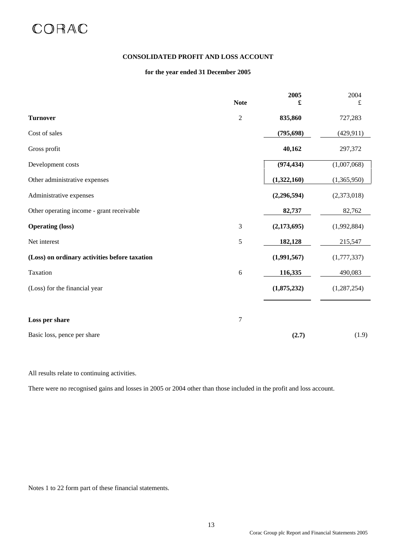# **CONSOLIDATED PROFIT AND LOSS ACCOUNT**

### **for the year ended 31 December 2005**

|                                               | <b>Note</b>    | 2005          | 2004        |
|-----------------------------------------------|----------------|---------------|-------------|
| <b>Turnover</b>                               | 2              | 835,860       | 727,283     |
| Cost of sales                                 |                | (795, 698)    | (429, 911)  |
| Gross profit                                  |                | 40,162        | 297,372     |
| Development costs                             |                | (974, 434)    | (1,007,068) |
| Other administrative expenses                 |                | (1,322,160)   | (1,365,950) |
| Administrative expenses                       |                | (2, 296, 594) | (2,373,018) |
| Other operating income - grant receivable     |                | 82,737        | 82,762      |
| <b>Operating (loss)</b>                       |                | (2,173,695)   | (1,992,884) |
| Net interest                                  | -5             | 182,128       | 215,547     |
| (Loss) on ordinary activities before taxation |                | (1,991,567)   | (1,777,337) |
| Taxation                                      | 6              | 116,335       | 490,083     |
| (Loss) for the financial year                 |                | (1,875,232)   | (1,287,254) |
|                                               |                |               |             |
| Loss per share                                | $\overline{ }$ |               |             |
| Basic loss, pence per share                   |                | (2.7)         | (1.9)       |

All results relate to continuing activities.

There were no recognised gains and losses in 2005 or 2004 other than those included in the profit and loss account.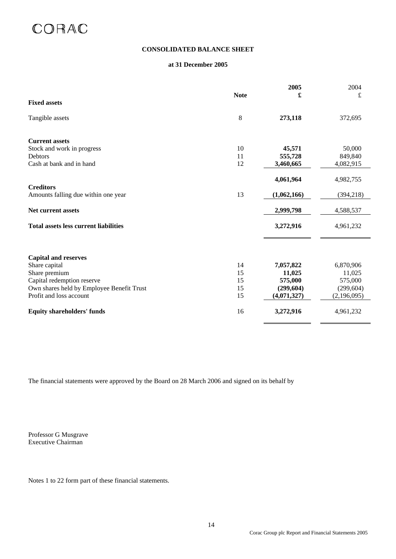

# **CONSOLIDATED BALANCE SHEET**

#### **at 31 December 2005**

|                                           |             | 2005        | 2004        |
|-------------------------------------------|-------------|-------------|-------------|
|                                           | <b>Note</b> | $\mathbf f$ |             |
| <b>Fixed assets</b>                       |             |             |             |
| Tangible assets                           | 8           | 273,118     | 372,695     |
|                                           |             |             |             |
| <b>Current assets</b>                     |             |             |             |
| Stock and work in progress                | 10          | 45,571      | 50,000      |
| Debtors                                   |             | 555,728     | 849,840     |
| Cash at bank and in hand                  | 12          | 3,460,665   | 4,082,915   |
|                                           |             |             |             |
|                                           |             | 4,061,964   | 4,982,755   |
| <b>Creditors</b>                          |             |             |             |
| Amounts falling due within one year       | 13          | (1,062,166) | (394, 218)  |
| Net current assets                        |             | 2,999,798   | 4,588,537   |
|                                           |             |             |             |
| Total assets less current liabilities     |             | 3,272,916   | 4,961,232   |
|                                           |             |             |             |
|                                           |             |             |             |
| <b>Capital and reserves</b>               |             |             |             |
| Share capital                             | 14          | 7,057,822   | 6,870,906   |
| Share premium                             |             | 11,025      | 11,025      |
| Capital redemption reserve                |             | 575,000     | 575,000     |
| Own shares held by Employee Benefit Trust |             | (299, 604)  | (299, 604)  |
| Profit and loss account                   | 15          | (4,071,327) | (2,196,095) |
| <b>Equity shareholders' funds</b>         | 16          | 3,272,916   | 4,961,232   |
|                                           |             |             |             |

The financial statements were approved by the Board on 28 March 2006 and signed on its behalf by

Professor G Musgrave Executive Chairman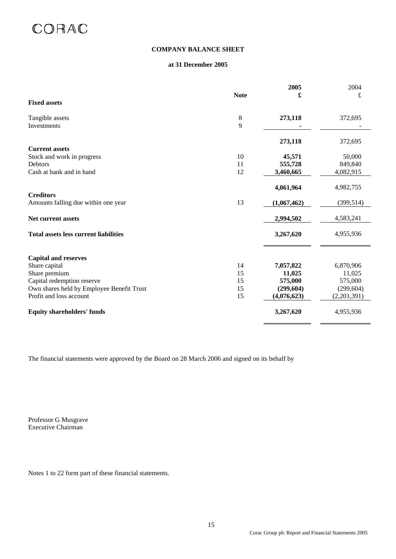

### **COMPANY BALANCE SHEET**

#### **at 31 December 2005**

|                                           |             | 2005                                                   | 2004                                                                                                                                                                                                                                                                                                                                                                                                                             |
|-------------------------------------------|-------------|--------------------------------------------------------|----------------------------------------------------------------------------------------------------------------------------------------------------------------------------------------------------------------------------------------------------------------------------------------------------------------------------------------------------------------------------------------------------------------------------------|
|                                           | <b>Note</b> | $\mathbf f$                                            |                                                                                                                                                                                                                                                                                                                                                                                                                                  |
| <b>Fixed assets</b>                       |             |                                                        |                                                                                                                                                                                                                                                                                                                                                                                                                                  |
| Tangible assets                           |             | 273,118                                                | 372,695                                                                                                                                                                                                                                                                                                                                                                                                                          |
| Investments                               | $\alpha$    | <b>Contract</b><br>and the contract of the contract of | $\frac{1}{\sqrt{2\pi}}\left(\frac{1}{\sqrt{2\pi}}\right)^{2}=\frac{1}{\sqrt{2\pi}}\left(\frac{1}{\sqrt{2\pi}}\right)^{2}=\frac{1}{\sqrt{2\pi}}\left(\frac{1}{\sqrt{2\pi}}\right)^{2}=\frac{1}{\sqrt{2\pi}}\left(\frac{1}{\sqrt{2\pi}}\right)^{2}=\frac{1}{\sqrt{2\pi}}\left(\frac{1}{\sqrt{2\pi}}\right)^{2}=\frac{1}{\sqrt{2\pi}}\left(\frac{1}{\sqrt{2\pi}}\right)^{2}=\frac{1}{\sqrt{2\pi}}\left(\frac{1}{\sqrt{2\pi}}\right$ |
|                                           |             |                                                        |                                                                                                                                                                                                                                                                                                                                                                                                                                  |
|                                           |             | 273,118                                                | 372,695                                                                                                                                                                                                                                                                                                                                                                                                                          |
| <b>Current assets</b>                     |             |                                                        |                                                                                                                                                                                                                                                                                                                                                                                                                                  |
| Stock and work in progress                | 10          | 45,571                                                 | 50,000                                                                                                                                                                                                                                                                                                                                                                                                                           |
| Debtors                                   |             | 555,728                                                | 849,840                                                                                                                                                                                                                                                                                                                                                                                                                          |
| Cash at bank and in hand                  | 12          | 3,460,665                                              | 4,082,915                                                                                                                                                                                                                                                                                                                                                                                                                        |
|                                           |             |                                                        |                                                                                                                                                                                                                                                                                                                                                                                                                                  |
|                                           |             | 4,061,964                                              | 4,982,755                                                                                                                                                                                                                                                                                                                                                                                                                        |
| <b>Creditors</b>                          |             |                                                        |                                                                                                                                                                                                                                                                                                                                                                                                                                  |
| Amounts falling due within one year       | 13          | (1,067,462)                                            | (399, 514)                                                                                                                                                                                                                                                                                                                                                                                                                       |
| Net current assets                        |             | 2,994,502                                              | 4,583,241                                                                                                                                                                                                                                                                                                                                                                                                                        |
|                                           |             |                                                        |                                                                                                                                                                                                                                                                                                                                                                                                                                  |
| Total assets less current liabilities     |             | 3,267,620                                              | 4,955,936                                                                                                                                                                                                                                                                                                                                                                                                                        |
|                                           |             |                                                        |                                                                                                                                                                                                                                                                                                                                                                                                                                  |
|                                           |             |                                                        |                                                                                                                                                                                                                                                                                                                                                                                                                                  |
| <b>Capital and reserves</b>               |             |                                                        |                                                                                                                                                                                                                                                                                                                                                                                                                                  |
| Share capital                             | 14          | 7,057,822                                              | 6,870,906                                                                                                                                                                                                                                                                                                                                                                                                                        |
| Share premium                             |             | 11,025                                                 | 11,025                                                                                                                                                                                                                                                                                                                                                                                                                           |
| Capital redemption reserve                |             | 575,000                                                | 575,000                                                                                                                                                                                                                                                                                                                                                                                                                          |
| Own shares held by Employee Benefit Trust |             | (299, 604)                                             | (299, 604)                                                                                                                                                                                                                                                                                                                                                                                                                       |
| Profit and loss account                   | 15          | (4,076,623)                                            | (2,201,391)                                                                                                                                                                                                                                                                                                                                                                                                                      |
|                                           |             |                                                        |                                                                                                                                                                                                                                                                                                                                                                                                                                  |
| <b>Equity shareholders' funds</b>         |             | 3,267,620                                              | 4,955,936                                                                                                                                                                                                                                                                                                                                                                                                                        |
|                                           |             |                                                        |                                                                                                                                                                                                                                                                                                                                                                                                                                  |

The financial statements were approved by the Board on 28 March 2006 and signed on its behalf by

Professor G Musgrave Executive Chairman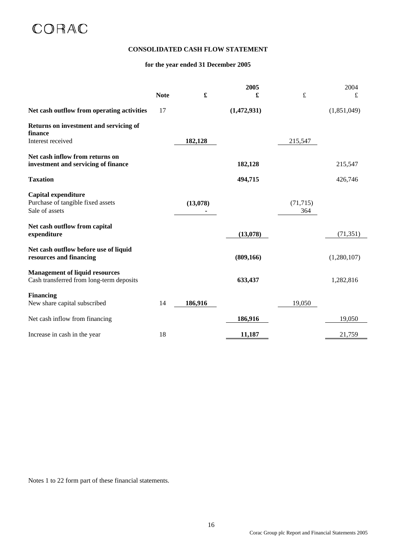# **CONSOLIDATED CASH FLOW STATEMENT**

# **for the year ended 31 December 2005**

|                                                                                   | <b>Note</b> |                                      | 2005              |                  | 2004        |
|-----------------------------------------------------------------------------------|-------------|--------------------------------------|-------------------|------------------|-------------|
| Net cash outflow from operating activities                                        | 17          |                                      | (1,472,931)       |                  | (1,851,049) |
| Returns on investment and servicing of<br>finance<br>Interest received            |             | 182,128                              |                   | 215,547          |             |
| Net cash inflow from returns on<br>investment and servicing of finance            |             |                                      | 182,128           |                  | 215,547     |
| <b>Taxation</b>                                                                   |             |                                      | 494,715           |                  | 426,746     |
| Capital expenditure<br>Purchase of tangible fixed assets<br>Sale of assets        |             | (13,078)<br><b>Service Contracts</b> |                   | (71, 715)<br>364 |             |
| Net cash outflow from capital<br>expenditure                                      |             |                                      | (13,078)          |                  | (71,351)    |
| Net cash outflow before use of liquid<br>resources and financing                  |             |                                      | (809, 166)        |                  | (1,280,107) |
| <b>Management of liquid resources</b><br>Cash transferred from long-term deposits |             |                                      | 633,437           |                  | 1,282,816   |
| <b>Financing</b><br>New share capital subscribed                                  | 14          | 186,916                              |                   | 19,050           |             |
| Net cash inflow from financing                                                    |             |                                      | 186,916<br>______ |                  | 19,050      |
| Increase in cash in the year                                                      | 18          |                                      | 11,187<br>$\sim$  |                  | 21,759      |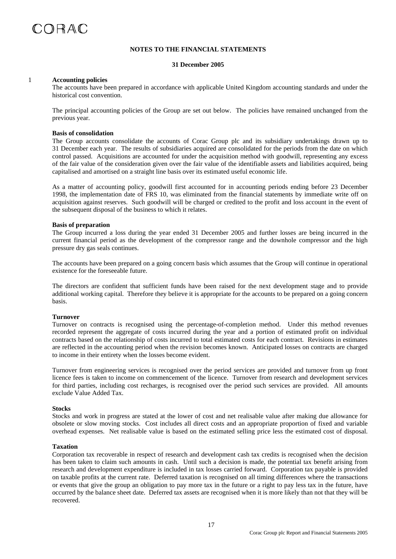### **NOTES TO THE FINANCIAL STATEMENTS**

### **31 December 2005**

#### 1 **Accounting policies**

The accounts have been prepared in accordance with applicable United Kingdom accounting standards and under the historical cost convention.

The principal accounting policies of the Group are set out below. The policies have remained unchanged from the previous year.

#### **Basis of consolidation**

The Group accounts consolidate the accounts of Corac Group plc and its subsidiary undertakings drawn up to 31 December each year. The results of subsidiaries acquired are consolidated for the periods from the date on which control passed. Acquisitions are accounted for under the acquisition method with goodwill, representing any excess of the fair value of the consideration given over the fair value of the identifiable assets and liabilities acquired, being capitalised and amortised on a straight line basis over its estimated useful economic life.

As a matter of accounting policy, goodwill first accounted for in accounting periods ending before 23 December 1998, the implementation date of FRS 10, was eliminated from the financial statements by immediate write off on acquisition against reserves. Such goodwill will be charged or credited to the profit and loss account in the event of the subsequent disposal of the business to which it relates.

#### **Basis of preparation**

The Group incurred a loss during the year ended 31 December 2005 and further lossesare being incurred in the current financial period as the development of the compressor range and the downhole compressor and the high pressure dry gas seals continues.

The accounts have been prepared on a going concern basis which assumes that the Group will continue in operational existence for the foreseeable future.

The directors are confident that sufficient funds have been raised for the next development stage and to provide additional working capital. Therefore they believe it is appropriate for the accounts to be prepared on a going concern basis. The contract of the contract of the contract of the contract of the contract of the contract of the contract of the contract of the contract of the contract of the contract of the contract of the contract of the con

#### **Turnover**

Turnover on contracts is recognised using the percentage-of-completion method. Under this method revenues recorded represent the aggregate of costs incurred during the year and a portion of estimated profit on individual contracts based on the relationship of costs incurred to total estimated costs for each contract. Revisions in estimates are reflected in the accounting period when the revision becomes known. Anticipated losses on contracts are charged to income in their entirety when the losses become evident.

Turnover from engineering services is recognised over the period services are provided and turnover from up front licence fees is taken to income on commencement of the licence. Turnover from research and development services for third parties, including cost recharges, is recognised over the period such services are provided. All amounts exclude Value Added Tax.

#### **Stocks**

Stocks and work in progress are stated at the lower of cost and net realisable value after making due allowance for obsolete or slow moving stocks. Cost includes all direct costs and an appropriate proportion of fixed and variable overhead expenses. Net realisable value is based on the estimated selling price less the estimated cost of disposal.

#### **Taxation**

Corporation tax recoverable in respect of research and development cash tax credits is recognised when the decision has been taken to claim such amounts in cash. Until such a decision is made, the potential tax benefit arising from research and development expenditure is included in tax losses carried forward. Corporation tax payable is provided on taxable profits at the current rate. Deferred taxation is recognised on all timing differences where the transactions or events that give the group an obligation to pay more tax in the future or a right to pay less tax in the future, have occurred by the balance sheet date. Deferred tax assets are recognised when it is more likely than not that they will be recovered.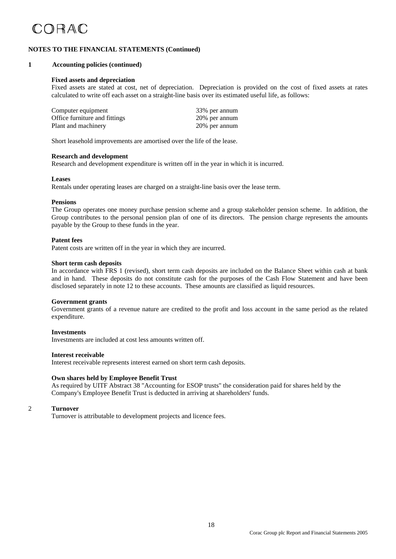## **NOTES TO THE FINANCIAL STATEMENTS (Continued)**

#### **1 Accounting policies (continued)**

#### **Fixed assets and depreciation**

Fixed assets are stated at cost, net of depreciation. Depreciation is provided on the cost of fixed assets at rates calculated to write off each asset on a straight-line basis over its estimated useful life, as follows:

| Computer equipment            | 33% per annum |  |  |
|-------------------------------|---------------|--|--|
| Office furniture and fittings | 20% per annum |  |  |
| Plant and machinery           | 20% per annum |  |  |

Short leasehold improvements are amortised over the life of the lease.

#### **Research and development**

Research and development expenditure is written off in the year in which it is incurred.

#### **Leases**

Rentals under operating leases are charged on a straight-line basis over the lease term.

#### **Pensions**

The Group operates one money purchase pension scheme and a group stakeholder pension scheme. In addition, the Group contributes to the personal pension plan of one of its directors. The pension charge represents the amounts payable by the Group to these funds in the year.

#### **Patent fees**

Patent costs are written off in the year in which they are incurred.

#### **Short term cash deposits**

In accordance with FRS 1 (revised), short term cash deposits are included on the Balance Sheet within cash at bank and in hand. These deposits do not constitute cash for the purposes of the Cash Flow Statement and have been disclosed separately in note 12 to these accounts. These amounts are classified as liquid resources.

#### **Government grants**

Government grants of a revenue nature are credited to the profit and loss account in the same period as the related expenditure. The contract of the contract of the contract of the contract of the contract of the contract of the contract of the contract of the contract of the contract of the contract of the contract of the contract of t

#### **Investments**

Investments are included at cost less amounts written off.

#### **Interest receivable**

Interest receivable represents interest earned on short term cash deposits.

#### **Own shares held by Employee Benefit Trust**

As required by UITF Abstract 38 "Accounting for ESOP trusts" the consideration paid for shares held by the Company's Employee Benefit Trust is deducted in arriving at shareholders' funds.

#### 2 **Turnover**

Turnover is attributable to development projects and licence fees.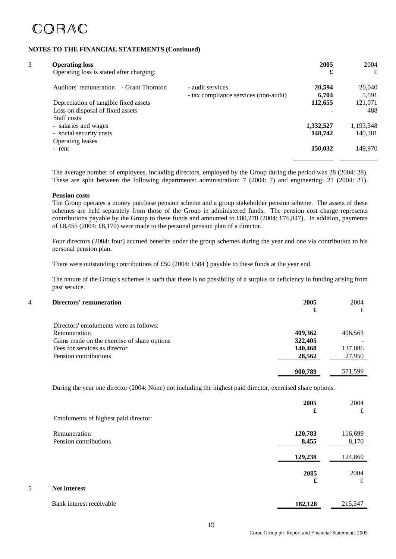# **NOTES TO THE FINANCIAL STATEMENTS (Continued)**

| <b>Operating loss</b><br>Operating loss is stated after charging: |                                                           | 2005            | 2004            |
|-------------------------------------------------------------------|-----------------------------------------------------------|-----------------|-----------------|
| Auditors' remuneration - Grant Thornton                           | - audit services<br>- tax compliance services (non-audit) | 20,594<br>6,704 | 20,040<br>5,591 |
| Depreciation of tangible fixed assets                             |                                                           | 112,655         | 121,071         |
| Loss on disposal of fixed assets                                  |                                                           |                 | 488             |
| Staff costs                                                       |                                                           |                 |                 |
| - salaries and wages                                              |                                                           | 1,332,527       | 1,193,348       |
| - social security costs                                           |                                                           | 148,742         | 140,381         |
| <b>Operating leases</b>                                           |                                                           |                 |                 |
| - rent                                                            |                                                           | 150,032         | 149,970         |
|                                                                   |                                                           |                 |                 |

The average number of employees, including directors, employed by the Group during the period was 28 (2004: 28). These are split between the following departments: administration: 7 (2004: 7) and engineering: 21 (2004: 21).

#### **Pension costs**

The Group operates a money purchase pension scheme and a group stakeholder pension scheme. The assets of these schemes are held separately from those of the Group in administered funds. The pension cost charge represents contributions payable by the Group to these funds and amounted to £80,278 (2004: £76,847). In addition, payments of £8,455 (2004: £8,170) were made to the personal pension plan of a director.

Four directors (2004: four) accrued benefits under the group schemes during the year and one via contribution to his personal pension plan.

There were outstanding contributions of £50 (2004: £584 ) payable to these funds at the year end.

The nature of the Group's schemes is such that there is no possibility of a surplus or deficiency in funding arising from past service. The contract of the contract of the contract of the contract of the contract of the contract of the contract of the contract of the contract of the contract of the contract of the contract of the contract of

| <b>Directors' remuneration</b>              | 2005    | 2004    |
|---------------------------------------------|---------|---------|
|                                             |         |         |
| Directors' emoluments were as follows:      |         |         |
| Remuneration                                | 409,362 | 406,563 |
| Gains made on the exercise of share options | 322,405 |         |
| Fees for services as director               | 140,460 | 137,086 |
| Pension contributions                       | 28,562  | 27,950  |
|                                             |         |         |
|                                             | 900,789 | 571,599 |

During the year one director (2004: None) not including the highest paid director, exercised share options.

|                                      | 2005    | 2004    |
|--------------------------------------|---------|---------|
| Emoluments of highest paid director: |         |         |
| Remuneration                         | 120,783 | 116,699 |
| Pension contributions                | 8,455   | 8,170   |
|                                      | 129,238 | 124,869 |
|                                      | 2005    | 2004    |
| Net interest                         |         |         |
| Bank interest receivable             | 182,128 | 215,547 |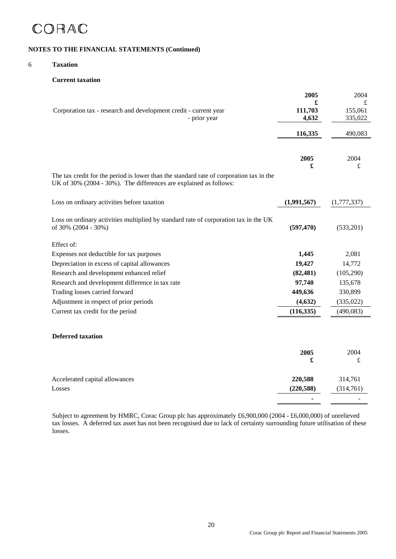# **NOTES TO THE FINANCIAL STATEMENTS (Continued)**

## 6 **Taxation**

### **Current taxation**

|                                                                                                                                                              | 2005             | 2004               |
|--------------------------------------------------------------------------------------------------------------------------------------------------------------|------------------|--------------------|
|                                                                                                                                                              | - F              | f                  |
| Corporation tax - research and development credit - current year<br>- prior year                                                                             | 111,703<br>4,632 | 155,061<br>335,022 |
|                                                                                                                                                              |                  |                    |
|                                                                                                                                                              | 116,335          | 490,083            |
|                                                                                                                                                              |                  |                    |
|                                                                                                                                                              | 2005             | 2004               |
|                                                                                                                                                              | $\mathbf f$      | $\mathbf{f}$       |
| The tax credit for the period is lower than the standard rate of corporation tax in the<br>UK of 30% (2004 - 30%). The differences are explained as follows: |                  |                    |
| Loss on ordinary activities before taxation                                                                                                                  | (1,991,567)      | (1,777,337)        |
| Loss on ordinary activities multiplied by standard rate of corporation tax in the UK                                                                         |                  |                    |
| of 30% (2004 - 30%)                                                                                                                                          | (597, 470)       | (533,201)          |
| Effect of:                                                                                                                                                   |                  |                    |
| Expenses not deductible for tax purposes                                                                                                                     | 1,445            | 2,081              |
| Depreciation in excess of capital allowances                                                                                                                 | 19,427           | 14,772             |
| Research and development enhanced relief                                                                                                                     | (82, 481)        | (105,290)          |
| Research and development difference in tax rate                                                                                                              | 97,740           | 135,678            |
| Trading losses carried forward                                                                                                                               | 449,636          | 330,899            |
| Adjustment in respect of prior periods                                                                                                                       | (4, 632)         | (335, 022)         |
| Current tax credit for the period                                                                                                                            | (116,335)        | (490,083)          |
|                                                                                                                                                              |                  |                    |
| <b>Deferred taxation</b>                                                                                                                                     |                  |                    |
|                                                                                                                                                              |                  |                    |
|                                                                                                                                                              | 2005             | 2004               |
|                                                                                                                                                              |                  |                    |
| Accelerated capital allowances                                                                                                                               | 220,588          | 314,761            |
| Losses                                                                                                                                                       | (220, 588)       | (314,761)          |
|                                                                                                                                                              | $\sim 100$       | $\sim$ $-$         |
|                                                                                                                                                              |                  |                    |

Subject to agreement by HMRC, Corac Group plc has approximately £6,900,000 (2004 - £6,000,000) of unrelieved tax losses. A deferred tax asset has not been recognised due to lack of certainty surrounding future utilisation of these losses.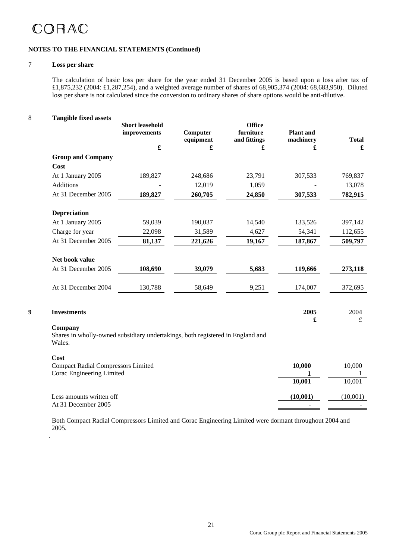# **NOTES TO THE FINANCIAL STATEMENTS (Continued)**

### 7 **Loss per share**

The calculation of basic loss per share for the year ended 31 December 2005 is based upon a loss after tax of £1,875,232 (2004: £1,287,254), and a weighted average number of shares of 68,905,374 (2004: 68,683,950).Diluted loss per share is not calculated since the conversion to ordinary shares of share options would be anti-dilutive.

#### 8 **Tangible fixed assets**

|                          | <b>Short leasehold</b> |           | Office       |                  |              |
|--------------------------|------------------------|-----------|--------------|------------------|--------------|
|                          | improvements           | Computer  | furniture    | <b>Plant</b> and |              |
|                          |                        | equipment | and fittings | machinery        | <b>Total</b> |
| <b>Group and Company</b> |                        |           |              |                  |              |
| Cost                     |                        |           |              |                  |              |
| At 1 January 2005        | 189,827                | 248,686   | 23,791       | 307,533          | 769,837      |
|                          |                        |           |              |                  |              |
| Additions                |                        | 12,019    | 1,059        | $\sim$           | 13,078       |
| At 31 December 2005      | 189,827                | 260,705   | 24,850       | 307,533          | 782,915      |
|                          |                        |           |              |                  |              |
| Depreciation             |                        |           |              |                  |              |
| At 1 January 2005        | 59,039                 | 190,037   | 14,540       | 133,526          | 397,142      |
| Charge for year          | 22,098                 | 31,589    | 4,627        | 54,341           | 112,655      |
| At 31 December 2005      | 81,137                 | 221,626   | 19,167       | 187,867          | 509,797      |
|                          |                        |           |              |                  |              |
| Net book value           |                        |           |              |                  |              |
| At 31 December 2005      | 108,690                | 39,079    | 5,683        | 119,666          | 273,118      |
|                          |                        |           |              |                  |              |
| At 31 December 2004      | 130,788                | 58,649    | 9,251        | 174,007          | 372,695      |
|                          |                        |           |              |                  |              |
|                          |                        |           |              |                  |              |
| <b>Investments</b>       |                        |           |              | 2005             | 2004         |

#### **Company**

 Shares in wholly-owned subsidiary undertakings, both registered in England and Wales.

.

| <b>Cost</b>                               |          |          |
|-------------------------------------------|----------|----------|
| <b>Compact Radial Compressors Limited</b> | 10,000   | 10,000   |
| Corac Engineering Limited                 |          |          |
|                                           | 10,001   | 10,001   |
| Less amounts written off                  | (10,001) | (10,001) |
| At 31 December 2005                       |          |          |

 Both Compact Radial Compressors Limited and Corac Engineering Limited were dormant throughout 2004 and 2005.

**£** £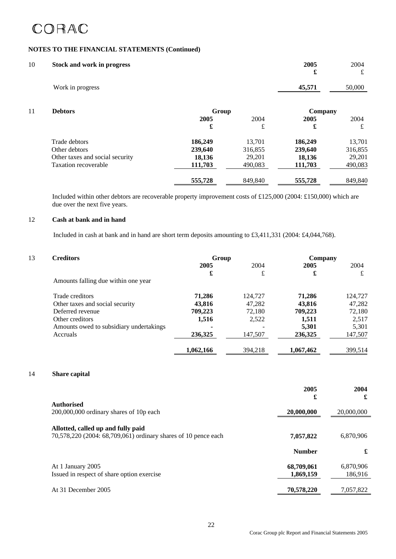# **NOTES TO THE FINANCIAL STATEMENTS (Continued)**

|    | <b>Stock and work in progress</b>                                                         |                                                    |                                                   | 2005                                               | 2004                                                                          |
|----|-------------------------------------------------------------------------------------------|----------------------------------------------------|---------------------------------------------------|----------------------------------------------------|-------------------------------------------------------------------------------|
|    | Work in progress                                                                          |                                                    |                                                   | 45,571                                             | 50,000                                                                        |
| 11 | <b>Debtors</b>                                                                            | Group<br>2005                                      | 2004                                              | Company<br>2005                                    | 2004                                                                          |
|    | Trade debtors<br>Other debtors<br>Other taxes and social security<br>Taxation recoverable | 186,249<br>239,640<br>18,136<br>111,703<br>555,728 | 13,701<br>316,855<br>29,201<br>490,083<br>849,840 | 186,249<br>239,640<br>18,136<br>111,703<br>555,728 | 13,701<br>316,855<br>29,201<br>490,083<br>849,840<br>$\overline{\phantom{a}}$ |

Included within other debtors are recoverable property improvement costs of £125,000 (2004: £150,000) which are due over the next five years.

#### 12 **Cash at bank and in hand**

Included in cash at bank and in hand are short term deposits amounting to £3,411,331 (2004: £4,044,768).

| <b>Creditors</b>                        | Group     |         | Company   |         |
|-----------------------------------------|-----------|---------|-----------|---------|
|                                         | 2005      | 2004    | 2005      | 2004    |
|                                         |           |         |           |         |
| Amounts falling due within one year     |           |         |           |         |
| Trade creditors                         | 71,286    | 124,727 | 71,286    | 124,727 |
| Other taxes and social security         | 43,816    | 47,282  | 43,816    | 47,282  |
| Deferred revenue                        | 709,223   | 72,180  | 709,223   | 72,180  |
| Other creditors                         | 1,516     | 2,522   | 1,511     | 2,517   |
| Amounts owed to subsidiary undertakings | $\sim$    |         | 5,301     | 5,301   |
| Accruals                                | 236,325   | 147,507 | 236,325   | 147,507 |
|                                         |           |         |           |         |
|                                         | 1,062,166 | 394,218 | 1,067,462 | 399,514 |

#### 14 **Share capital**

|                                                                                                      | 2005          | 2004       |
|------------------------------------------------------------------------------------------------------|---------------|------------|
| <b>Authorised</b><br>200,000,000 ordinary shares of 10p each                                         | 20,000,000    | 20,000,000 |
| Allotted, called up and fully paid<br>70,578,220 (2004: 68,709,061) ordinary shares of 10 pence each | 7,057,822     | 6,870,906  |
|                                                                                                      | <b>Number</b> |            |
| At 1 January 2005                                                                                    | 68,709,061    | 6,870,906  |
| Issued in respect of share option exercise                                                           | 1,869,159     | 186,916    |
| At 31 December 2005                                                                                  | 70,578,220    | 7,057,822  |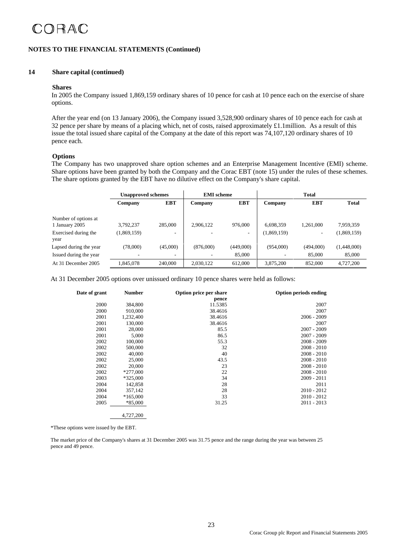# **NOTES TO THE FINANCIAL STATEMENTS (Continued)**

### **14 Share capital (continued)**

#### **Shares**

In 2005 the Company issued 1,869,159 ordinary shares of 10 pence for cash at 10 pence each on the exercise of share options.

After the year end (on 13 January 2006), the Company issued 3,528,900 ordinary shares of 10 pence each for cash at 32 pence per share by means of a placing which, net of costs, raised approximately £1.1million. As a result of this issue the total issued share capital of the Company at the date of this report was 74,107,120 ordinary shares of 10 pence each.

#### **Options**

The Company has two unapproved share option schemes and an Enterprise Management Incentive (EMI) scheme. Share options have been granted by both the Company and the Corac EBT (note 15) under the rules of these schemes. The share options granted by the EBT have no dilutive effect on the Company's share capital.

|                              | <b>Unapproved schemes</b> |          | <b>EMI</b> scheme |           |             |           |                           |
|------------------------------|---------------------------|----------|-------------------|-----------|-------------|-----------|---------------------------|
|                              | Company                   | EBT      | Company           |           | Company     | EBT       | Total                     |
| Number of options at         |                           |          |                   |           |             |           |                           |
| 1 January 2005               | 3.792.237                 | 285,000  | 2,906,122         | 976,000   | 6,698,359   | 1.261.000 | 7,959,359                 |
| Exercised during the<br>year | (1,869,159)               |          |                   |           | (1,869,159) |           | (1,869,159)               |
| Lapsed during the year       | (78,000)                  | (45,000) | (876,000)         | (449,000) | (954,000)   |           | $(494,000)$ $(1,448,000)$ |
| Issued during the year       |                           |          |                   | 85,000    |             | 85,000    | 85,000                    |
| At 31 December 2005          | 1,845,078                 | 240,000  | 2,030,122         | 612,000   | 3,875,200   | 852,000   | 4,727,200                 |

At 31 December 2005 options over unissued ordinary 10 pence shares were held as follows:

| Date of grant | <b>Number</b> | Option price per share | <b>Option periods ending</b> |
|---------------|---------------|------------------------|------------------------------|
|               |               | pence                  |                              |
| 2000          | 384,800       | 11.5385                | 2007                         |
| 2000          | 910,000       | 38.4616                | 2007                         |
| 2001          | 1,232,400     | 38.4616                | $2006 - 2009$                |
| 2001          | 130,000       | 38.4616                | 2007                         |
| 2001          | 28,000        | 85.5                   | $2007 - 2009$                |
| 2001          | 5,000         | 86.5                   | $2007 - 2009$                |
| 2002          | 100,000       | 55.3                   | $2008 - 2009$                |
| 2002          | 500,000       | 22                     | $2008 - 2010$                |
| 2002          | 40,000        |                        | $2008 - 2010$                |
| 2002          | 25,000        | 43.5                   | $2008 - 2010$                |
| 2002          | 20,000        | 23                     | $2008 - 2010$                |
| 2002          | $*277,000$    | 22<br>LL               | $2008 - 2010$                |
| 2003          | $*325,000$    | 34                     | 2009 - 2011                  |
| 2004          | 142,858       | 28                     | 2011                         |
| 2004          | 357,142       | 28                     | $2010 - 2012$                |
| 2004          | $*165,000$    | 33                     | $2010 - 2012$                |
| 2005          | $*85,000$     | 31.25                  | $2011 - 2013$                |
|               |               |                        |                              |
|               | 4,727,200     |                        |                              |

\*These options were issued by the EBT.

The market price of the Company's shares at 31 December 2005 was 31.75 pence and the range during the year was between 25 pence and 49 pence.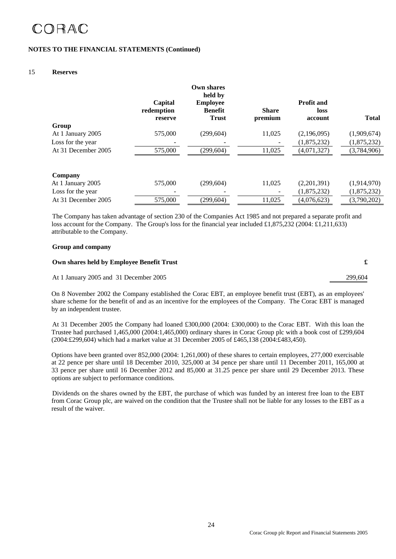# **NOTES TO THE FINANCIAL STATEMENTS (Continued)**

### 15 **Reserves**

|                                                                          |            | Own shares<br>held by |              |                                   |                                   |
|--------------------------------------------------------------------------|------------|-----------------------|--------------|-----------------------------------|-----------------------------------|
|                                                                          | Capital    | Employee              |              | <b>Profit and</b>                 |                                   |
|                                                                          | redemption | Benefi                | <b>Share</b> | loss                              |                                   |
|                                                                          | reserve    | <b>Trust</b>          | premium      | account                           | <b>Total</b>                      |
| Group<br>At 1 January 2005<br>Loss for the year<br>At 31 December 2005   | 575,000    | (299, 604)            | 11,025       | (2,196,095)                       | (1,909,674)                       |
|                                                                          |            |                       |              | $\frac{(1,875,232)}{(4,071,327)}$ | $\frac{(1,875,232)}{(3,784,906)}$ |
|                                                                          | 575,000    | (299, 604)            | 11,025       |                                   |                                   |
|                                                                          |            |                       |              |                                   |                                   |
|                                                                          |            |                       |              |                                   |                                   |
| Company<br>At 1 January 2005<br>Loss for the year<br>At 31 December 2005 | 575,000    | (299, 604)            | 11,025       | (2,201,391)                       | (1,914,970)                       |
|                                                                          |            |                       |              |                                   | (1,875,232)                       |
|                                                                          | 575,000    | (299, 604)            | 11,025       | $\frac{(1,875,232)}{(4,076,623)}$ | (3,790,202)                       |

The Company has taken advantage of section 230 of the Companies Act 1985 and not prepared a separate profit and loss account for the Company. The Group's loss for the financial year included £1,875,232 (2004: £1,211,633) attributable to the Company.

#### **Group and company**

#### **Own shares held by Employee Benefit Trust Equal to 2.4 Terms £**

At 1 January 2005 and 31 December 2005 299,604

On 8 November 2002 the Company established the Corac EBT, an employee benefit trust (EBT), as an employees' share scheme for the benefit of and as an incentive for the employees of the Company. The Corac EBT is managed by an independent trustee.

At 31 December 2005 the Company had loaned £300,000 (2004: £300,000) to the Corac EBT. With this loan the Trustee had purchased 1,465,000 (2004:1,465,000) ordinary shares in Corac Group plc with a book cost of £299,604 (2004:£299,604) which had a market value at 31 December 2005 of £465,138 (2004:£483,450).

Options have been granted over 852,000 (2004: 1,261,000) of these shares to certain employees, 277,000 exercisable at 22 pence per share until 18 December 2010, 325,000 at 34 pence per share until 11 December 2011, 165,000 at 33 pence per share until 16 December 2012 and 85,000 at 31.25 pence per share until 29 December 2013. These options are subject to performance conditions.

Dividends on the shares owned by the EBT, the purchase of which was funded by an interest free loan to the EBT from Corac Group plc, are waived on the condition that the Trustee shall not be liable for any losses to the EBT as a result of the waiver.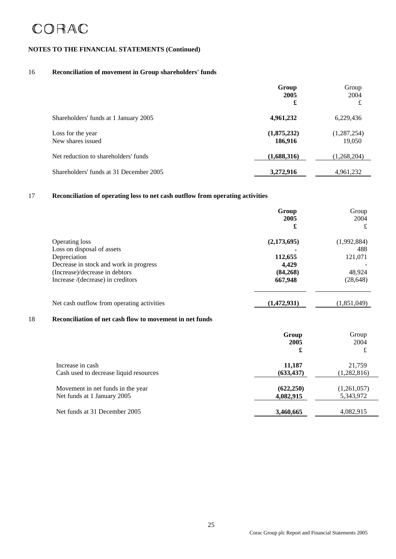# **NOTES TO THE FINANCIAL STATEMENTS (Continued)**

# 16 **Reconciliation of movement in Group shareholders' funds**

|                                         | Group<br>2005          | Group<br>2004         |
|-----------------------------------------|------------------------|-----------------------|
| Shareholders' funds at 1 January 2005   | 4,961,232              | 6,229,436             |
| Loss for the year<br>New shares issued  | (1,875,232)<br>186,916 | (1,287,254)<br>19,050 |
| Net reduction to shareholders' funds    | (1,688,316)            | (1,268,204)           |
| Shareholders' funds at 31 December 2005 | 3,272,916              | 4,961,232             |

# 17 **Reconciliation of operating loss to net cash outflow from operating activities**

|     |                                                          | Group<br>2005 | Group<br>2004 |
|-----|----------------------------------------------------------|---------------|---------------|
|     |                                                          |               |               |
|     | <b>Operating loss</b>                                    | (2,173,695)   | (1,992,884)   |
|     | Loss on disposal of assets                               |               | 488           |
|     | Depreciation                                             | 112,655       | 121,071       |
|     | Decrease in stock and work in progress                   | 4,429         | $\sim$        |
|     | (Increase)/decrease in debtors                           | (84,268)      | 48,924        |
|     | Increase /(decrease) in creditors                        | 667,948       | (28, 648)     |
|     |                                                          |               |               |
|     | Net cash outflow from operating activities               | (1,472,931)   | (1,851,049)   |
|     |                                                          |               |               |
| I R | Reconciliation of net cash flow to movement in net funds |               |               |
|     |                                                          |               |               |
|     |                                                          | Group         | Group         |
|     |                                                          | 2005          | 2004          |
|     |                                                          |               |               |
|     | Increase in cash                                         | 11,187        | 21,759        |
|     | Cash used to decrease liquid resources                   | (633, 437)    | (1,282,816)   |
|     |                                                          |               |               |
|     | Movement in net funds in the year                        | (622, 250)    | (1,261,057)   |
|     | Net funds at 1 January 2005                              | 4,082,915     | 5,343,972     |
|     |                                                          |               |               |
|     | Net funds at 31 December 2005                            | 3,460,665     | 4,082,915     |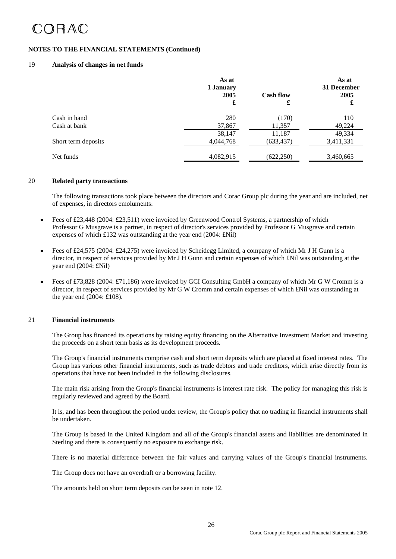## **NOTES TO THE FINANCIAL STATEMENTS (Continued)**

#### 19 **Analysis of changes in net funds**

|                              | As at              |                  | As at       |
|------------------------------|--------------------|------------------|-------------|
|                              | 1 January          |                  | 31 December |
|                              | 2005               | <b>Cash flow</b> | 2005        |
|                              |                    |                  |             |
|                              |                    |                  |             |
| Cash in hand<br>Cash at bank |                    | (170)            | 110         |
|                              | 37,867             | 11,357           | 49,224      |
|                              | $\frac{1}{38,147}$ | 11,187           | 49,334      |
| Short term deposits          | 4,044,768          | (633, 437)       | 3,411,331   |
|                              |                    |                  |             |
| Net funds                    | 4,082,915          | (622,250)        | 3,460,665   |

#### 20 **Related party transactions**

The following transactions took place between the directors and Corac Group plc during the year and are included, net of expenses, in directors emoluments:

- Fees of £23,448 (2004: £23,511) were invoiced by Greenwood Control Systems, a partnership of which Professor G Musgrave is a partner, in respect of director's services provided by Professor G Musgrave and certain expenses of which £132 was outstanding at the year end (2004: £Nil)
- Fees of £24,575 (2004: £24,275) were invoiced by Scheidegg Limited, a company of which Mr J H Gunn is a  $\bullet$ director, in respect of services provided by Mr J H Gunn and certain expenses of which £Nil was outstanding at the year end (2004: £Nil)
- Fees of £73,828 (2004: £71,186) were invoiced by GCI Consulting GmbH a company of which Mr G W Cromm is a director, in respect of services provided by Mr G W Cromm and certain expenses of which £Nil was outstanding at the year end (2004: £108).

#### 21 **Financial instruments**

The Group has financed its operations by raising equity financing on the Alternative Investment Market and investing the proceeds on a short term basis as its development proceeds.

The Group's financial instruments comprise cash and short term deposits which are placed at fixed interest rates. The Group has various other financial instruments, such as trade debtors and trade creditors, which arise directly from its operations that have not been included in the following disclosures.

The main risk arising from the Group's financial instruments is interest rate risk. The policy for managing this risk is regularly reviewed and agreed by the Board.

It is, and has been throughout the period under review, the Group's policy that no trading in financial instruments shall be undertaken.

The Group is based in the United Kingdom and all of the Group'sfinancial assets and liabilities are denominated in Sterling and there is consequently no exposure to exchange risk.

There is no material difference between the fair values and carrying values of the Group's financial instruments.

The Group does not have an overdraft or a borrowing facility.

The amounts held on short term deposits can be seen in note 12.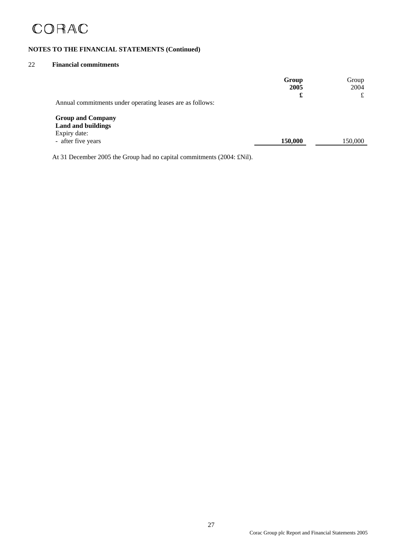# **NOTES TO THE FINANCIAL STATEMENTS (Continued)**

#### 22 **Financial commitments**

|                                                           | Group   | Group   |
|-----------------------------------------------------------|---------|---------|
|                                                           | 2005    | 2004    |
|                                                           |         |         |
| Annual commitments under operating leases are as follows: |         |         |
|                                                           |         |         |
| <b>Group and Company<br/>Land and buildings</b>           |         |         |
|                                                           |         |         |
| Expiry date:<br>- after five years                        |         |         |
|                                                           | 150,000 | 150,000 |

At 31 December 2005 the Group had no capital commitments (2004: £Nil).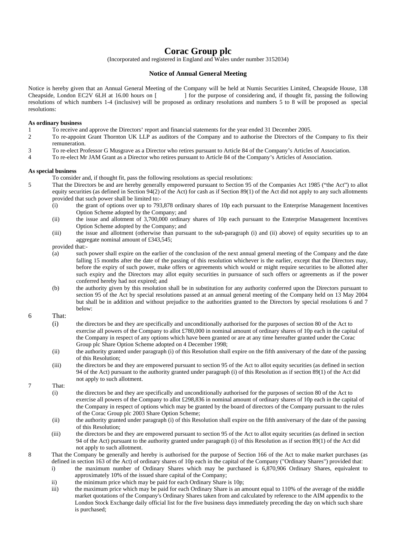# **Corac Group plc**

(Incorporated and registered in England and Wales under number 3152034)

#### **Notice of Annual General Meeting**

Notice is hereby given that an Annual General Meeting of the Company will be held at Numis Securities Limited, Cheapside House, 138 Cheapside, London EC2V 6LH at 16.00 hours on [ ] for the purpose of considering and, if thought fit, passing the following resolutions of which numbers 1-4 (inclusive) will be proposed as ordinary resolutions and numbers 5 to 8 will be proposed as special resolutions: *resolutions* 

#### **As ordinary business**

- 1 To receive and approve the Directors' report and financial statements for the year ended 31 December 2005.<br>2 To re-appoint Grant Thornton UK LLP as auditors of the Company and to authorise the Directors of the
- 2 To re-appoint Grant Thornton UK LLP as auditors of the Company and to authorise the Directors of the Company to fix their remuneration.
- 3 To re-elect Professor G Musgrave as a Director who retires pursuant to Article 84 of the Company s Articles of Association.
- 4 To re-elect Mr JAM Grant as a Director who retires pursuant to Article 84 of the Company s Articles of Association.

#### **As special business**

- To consider and, if thought fit, pass the following resolutions as special resolutions:
- 5 That the Directors be and are hereby generally empowered pursuant to Section 95 of the Companies Act 1985 ("the Act") to allot equity securities (as defined in Section 94(2) of the Act) for cash as if Section 89(1) of the Act did not apply to any such allotments provided that such power shall be limited to:-
	- (i) the grant of options over up to 793,878 ordinary shares of 10p each pursuant to the Enterprise Management Incentives Option Scheme adopted by the Company; and
	- (ii) the issue and allotment of 3,700,000 ordinary shares of 10p each pursuant to the Enterprise Management Incentives Option Scheme adopted by the Company; and
	- (iii) the issue and allotment (otherwise than pursuant to the sub-paragraph (i) and (ii) above) of equity securities up to an aggregate nominal amount of £343,545;<br>provided that:-

#### provided that:-

- (a) such power shall expire on the earlier of the conclusion of the next annual general meeting of the Company and the date falling 15 months after the date of the passing of this resolution whichever is the earlier, except that the Directors may, before the expiry of such power, make offers or agreements which would or might require securities to be allotted after such expiry and the Directors may allot equity securities in pursuance of such offers or agreements as if the power conferred hereby had not expired; and
- (b) the authority given by this resolution shall be in substitution for any authority conferred upon the Directors pursuant to section 95 of the Act by special resolutions passed at an annual general meeting of the Company but shall be in addition and without prejudice to the authorities granted to the Directors by special resolutions 6 and 7 below: the contract of the contract of the contract of the contract of the contract of the contract of the contract of the contract of the contract of the contract of the contract of the contract of the contract of the con

#### 6 That:

- (i) the directors be and they are specifically and unconditionally authorised for the purposes of section 80 of the Act to exercise all powers of the Company to allot £780,000 in nominal amount of ordinary shares of 10p each in the capital of the Company in respect of any options which have been granted or are at any time hereafter granted under the Corac Group plc Share Option Scheme adopted on 4 December 1998;
- (ii) the authority granted under paragraph (i) of this Resolution shall expire on the fifth anniversary of the date of the passing of this Resolution;
- (iii) the directors be and they are empowered pursuant to section 95 of the Act to allot equity securities (as defined in section 94 of the Act) pursuant to the authority granted under paragraph (i) of this Resolution as if section 89(1) of the Act did not apply to such allotment.

7 That:

- (i) the directors be and they are specifically and unconditionally authorised for the purposes of section 80 of the Act to exercise all powers of the Company to allot £298,836 in nominal amount of ordinary shares of 10p each in the capital of the Company in respect of options which may be granted by the board of directors of the Company pursuant to the rules of the Corac Group plc 2003 Share Option Scheme;
- (ii) the authority granted under paragraph (i) of this Resolution shall expire on the fifth anniversary of the date of the passing of this Resolution;
- (iii) the directors be and they are empowered pursuant to section 95 of the Act to allot equity securities (as defined in section 94 of the Act) pursuant to the authority granted under paragraph (i) of this Resolution as if section 89(1) of the Act did not apply to such allotment.
- 8 That the Company be generally and hereby is authorised for the purpose of Section 166 of the Act to make market purchases (as defined in section 163 of the Act) of ordinary shares of 10p each in the capital of the Company ("Ordinary Shares") provided that:
	- i) the maximum number of Ordinary Shares which may be purchased is 6,870,906 Ordinary Shares, equivalent to approximately 10% of the issued share capital of the Company;
	- ii) the minimum price which may be paid for each Ordinary Share is 10p;
	- iii) the maximum price which may be paid for each Ordinary Share is an amount equal to 110% of the average of the middle market quotations of the Company's Ordinary Shares taken from and calculated by reference to the AIM appendix to the London Stock Exchange daily official list for the five business days immediately preceding the day on which such share is purchased;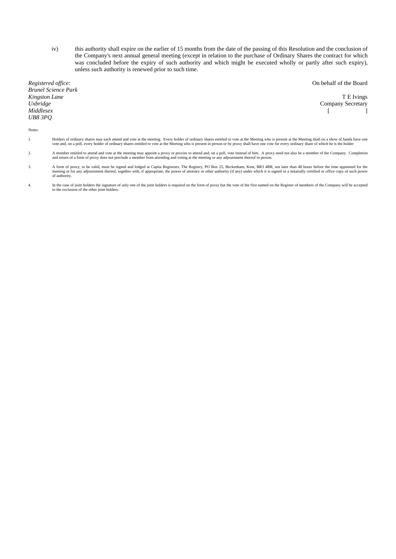iv) this authority shall expire on the earlier of 15 months from the date of the passing of this Resolution and the conclusion of the Company's next annual general meeting (except in relation to the purchase of Ordinary Shares the contract for which was concluded before the expiry of such authority and which might be executed wholly or partly after such expiry), unless such authority is renewed prior to such time.

*Registered office:* On behalf of the Board

*Brunel Science Park Middlesex* [ ] *UB8 3PQ*

*Kingston Lane* T E Ivings *Uxbridge* Company Secretary

Notes:

- 1. Holders of ordinary shares may each attend and vote at the meeting. Every holder of ordinary shares entitled to vote at the Meeting who is present at the Meeting shall on a show of hands have one<br>vote and, on a poll, ev
- 2. A member entitled to attend and vote at the meeting may appoint a proxy or proxies to attend and, on a poll, vote instead of him. A proxy reed not also be a member of the Company. Completion<br>and return of a form of prox
- 3. A form of proxy, to be valid, must be signed and lodged at Capita Registrars, The Registry, PO Box 25, Beckenham, Kent, BR3 4BR, not later than 48 hours before the time appointed for the meeting or for any adjournment thereof, together with, if appropriate, the power of attorney or other authority (if any) under which it is signed or a notarially certified or office copy of such power of attorney or other of authority.
- 4. In the case of joint holders the signature of only one of the joint holders is required on the form of proxy but the vote of the first named on the Register of members of the Company will be accepted to the exclusion of the other joint holders.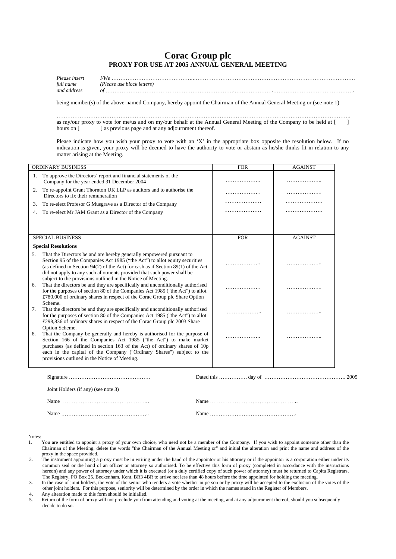# **Corac Group plc PROXY FOR USE AT 2005 ANNUAL GENERAL MEETING**

| Please insert |                                   |  |
|---------------|-----------------------------------|--|
| full name     | Pleas.<br>ease use block letters) |  |
| and address   |                                   |  |

being member(s) of the above-named Company, hereby appoint the Chairman of the Annual General Meeting or (see note 1)

. as my/our proxy to vote for me/us and on my/our behalf at the Annual General Meeting of the Company to be held at [ ] hours on  $\lceil \cdot \cdot \rceil$  as previous page and at any adjournment thereof.

Please indicate how you wish your proxy to vote with an  $X'$  in the appropriate box opposite the resolution below. If no indication is given, your proxy will be deemed to have the authority to vote or abstain as he/she thinks fit in relation to any matter arising at the Meeting.

| ORDINARY BUSINESS                                                                                                                                                                                                                                                                                                                                                                                                                                                                                                                                                                                                                                                                                                                 | FOR                             | <b>AGAINST</b> |
|-----------------------------------------------------------------------------------------------------------------------------------------------------------------------------------------------------------------------------------------------------------------------------------------------------------------------------------------------------------------------------------------------------------------------------------------------------------------------------------------------------------------------------------------------------------------------------------------------------------------------------------------------------------------------------------------------------------------------------------|---------------------------------|----------------|
| To approve the Directors' report and financial statements of the<br>Company for the year ended 31 December 2004                                                                                                                                                                                                                                                                                                                                                                                                                                                                                                                                                                                                                   |                                 |                |
| To re-appoint Grant Thornton UK LLP as auditors and to authorise the<br>Directors to fix their remuneration                                                                                                                                                                                                                                                                                                                                                                                                                                                                                                                                                                                                                       |                                 |                |
| To re-elect Profesor G Musgrave as a Director of the Company                                                                                                                                                                                                                                                                                                                                                                                                                                                                                                                                                                                                                                                                      |                                 |                |
| To re-elect Mr JAM Grant as a Director of the Company                                                                                                                                                                                                                                                                                                                                                                                                                                                                                                                                                                                                                                                                             |                                 |                |
| SPECIAL BUSINESS                                                                                                                                                                                                                                                                                                                                                                                                                                                                                                                                                                                                                                                                                                                  | FOR                             | AGAINST        |
| <b>Special Resolutions</b>                                                                                                                                                                                                                                                                                                                                                                                                                                                                                                                                                                                                                                                                                                        |                                 |                |
| That the Directors be and are hereby generally empowered pursuant to<br>Section 95 of the Companies Act 1985 ("the Act") to allot equity securities<br>(as defined in Section 94(2) of the Act) for cash as if Section $89(1)$ of the Act<br>did not apply to any such allotments provided that such power shall be<br>subject to the provisions outlined in the Notice of Meeting.<br>That the directors be and they are specifically and unconditionally authorised<br>for the purposes of section 80 of the Companies Act 1985 ("the Act") to allot<br>£780,000 of ordinary shares in respect of the Corac Group plc Share Option<br>Scheme.<br>That the directors be and they are specifically and unconditionally authorised |                                 |                |
| for the purposes of section 80 of the Companies Act 1985 ("the Act") to allot<br>£298,836 of ordinary shares in respect of the Corac Group plc 2003 Share<br>Option Scheme.<br>That the Company be generally and hereby is authorised for the purpose of<br>Section 166 of the Companies Act 1985 ("the Act") to make market<br>purchases (as defined in section 163 of the Act) of ordinary shares of 10p<br>each in the capital of the Company ("Ordinary Shares") subject to the<br>provisions outlined in the Notice of Meeting.                                                                                                                                                                                              |                                 |                |
| Datad this<br>Signatura                                                                                                                                                                                                                                                                                                                                                                                                                                                                                                                                                                                                                                                                                                           | $\frac{\partial u}{\partial x}$ |                |

| Signature                           | Dated this.<br>2005<br>day of<br>. |
|-------------------------------------|------------------------------------|
| Joint Holders (if any) (see note 3) |                                    |
| Name                                |                                    |
| Name.<br>.                          |                                    |

Notes: The contract of the contract of the contract of the contract of the contract of the contract of the contract of the contract of the contract of the contract of the contract of the contract of the contract of the con

- 1. You are entitled to appoint a proxy of your own choice, who need not be a member of the Company. If you wish to appoint someone other than the Chairman of the Meeting, delete the words "the Chairman of the Annual Meeting or" and initial the alteration and print the name and address of the proxy in the space provided.
- 2. The instrument appointing a proxy must be in writing under the hand of the appointor or his attorney or if the appointor is a corporation either under its common seal or the hand of an officer or attorney so authorised. To be effective this form of proxy (completed in accordance with the instructions hereon) and any power of attorney under which it is executed (or a duly certified copy of such power of attorney) must be returned to Capita Registrars, The Registry, PO Box 25, Beckenham, Kent, BR3 4BR to arrive not less than 48 hours before the time appointed for holding the meeting.
- 3. In the case of joint holders, the vote of the senior who tenders a vote whether in person or by proxy will be accepted to the exclusion of the votes of the other joint holders. For this purpose, seniority will be determined by the order in which the names stand in the Register of Members.
- 4. Any alteration made to this form should be initialled.<br>5. Return of the form of proxy will not preclude you from
- 5. Return of the form of proxy will not preclude you from attending and voting at the meeting, and at any adjournment thereof, should you subsequently decide to do so.